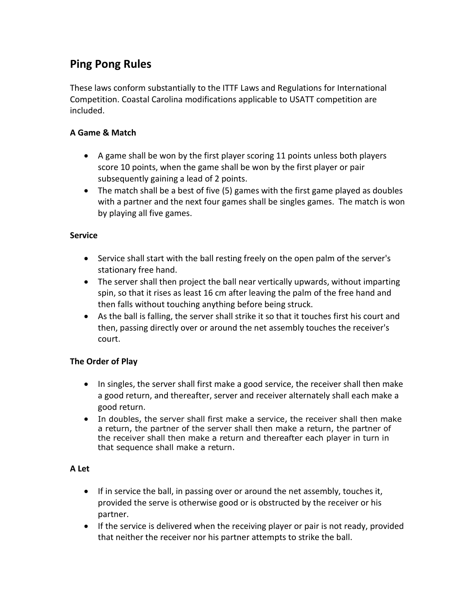# **Ping Pong Rules**

These laws conform substantially to the ITTF Laws and Regulations for International Competition. Coastal Carolina modifications applicable to USATT competition are included.

## **A Game & Match**

- A game shall be won by the first player scoring 11 points unless both players score 10 points, when the game shall be won by the first player or pair subsequently gaining a lead of 2 points.
- The match shall be a best of five (5) games with the first game played as doubles with a partner and the next four games shall be singles games. The match is won by playing all five games.

## **Service**

- Service shall start with the ball resting freely on the open palm of the server's stationary free hand.
- The server shall then project the ball near vertically upwards, without imparting spin, so that it rises as least 16 cm after leaving the palm of the free hand and then falls without touching anything before being struck.
- As the ball is falling, the server shall strike it so that it touches first his court and then, passing directly over or around the net assembly touches the receiver's court.

## **The Order of Play**

- In singles, the server shall first make a good service, the receiver shall then make a good return, and thereafter, server and receiver alternately shall each make a good return.
- In doubles, the server shall first make a service, the receiver shall then make a return, the partner of the server shall then make a return, the partner of the receiver shall then make a return and thereafter each player in turn in that sequence shall make a return.

## **A Let**

- If in service the ball, in passing over or around the net assembly, touches it, provided the serve is otherwise good or is obstructed by the receiver or his partner.
- If the service is delivered when the receiving player or pair is not ready, provided that neither the receiver nor his partner attempts to strike the ball.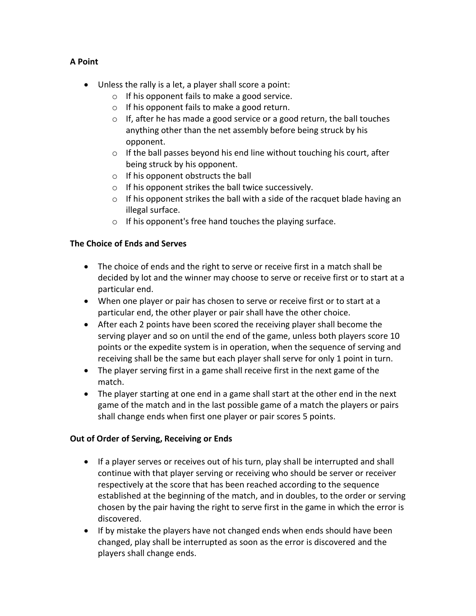## **A Point**

- Unless the rally is a let, a player shall score a point:
	- o If his opponent fails to make a good service.
	- o If his opponent fails to make a good return.
	- $\circ$  If, after he has made a good service or a good return, the ball touches anything other than the net assembly before being struck by his opponent.
	- o If the ball passes beyond his end line without touching his court, after being struck by his opponent.
	- o If his opponent obstructs the ball
	- o If his opponent strikes the ball twice successively.
	- $\circ$  If his opponent strikes the ball with a side of the racquet blade having an illegal surface.
	- o If his opponent's free hand touches the playing surface.

## **The Choice of Ends and Serves**

- The choice of ends and the right to serve or receive first in a match shall be decided by lot and the winner may choose to serve or receive first or to start at a particular end.
- When one player or pair has chosen to serve or receive first or to start at a particular end, the other player or pair shall have the other choice.
- After each 2 points have been scored the receiving player shall become the serving player and so on until the end of the game, unless both players score 10 points or the expedite system is in operation, when the sequence of serving and receiving shall be the same but each player shall serve for only 1 point in turn.
- The player serving first in a game shall receive first in the next game of the match.
- The player starting at one end in a game shall start at the other end in the next game of the match and in the last possible game of a match the players or pairs shall change ends when first one player or pair scores 5 points.

## **Out of Order of Serving, Receiving or Ends**

- If a player serves or receives out of his turn, play shall be interrupted and shall continue with that player serving or receiving who should be server or receiver respectively at the score that has been reached according to the sequence established at the beginning of the match, and in doubles, to the order or serving chosen by the pair having the right to serve first in the game in which the error is discovered.
- If by mistake the players have not changed ends when ends should have been changed, play shall be interrupted as soon as the error is discovered and the players shall change ends.